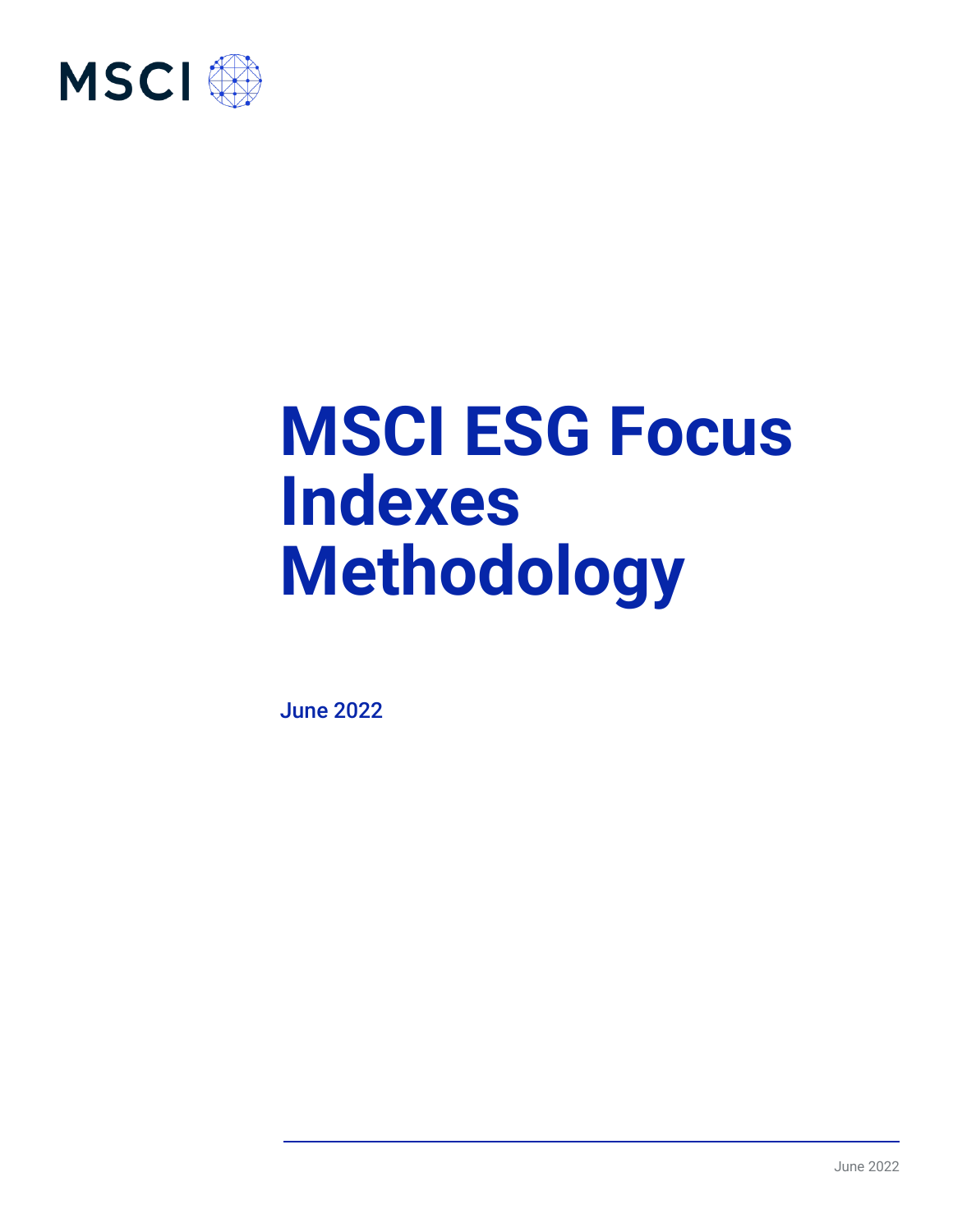

# **MSCI ESG Focus Indexes Methodology**

June 2022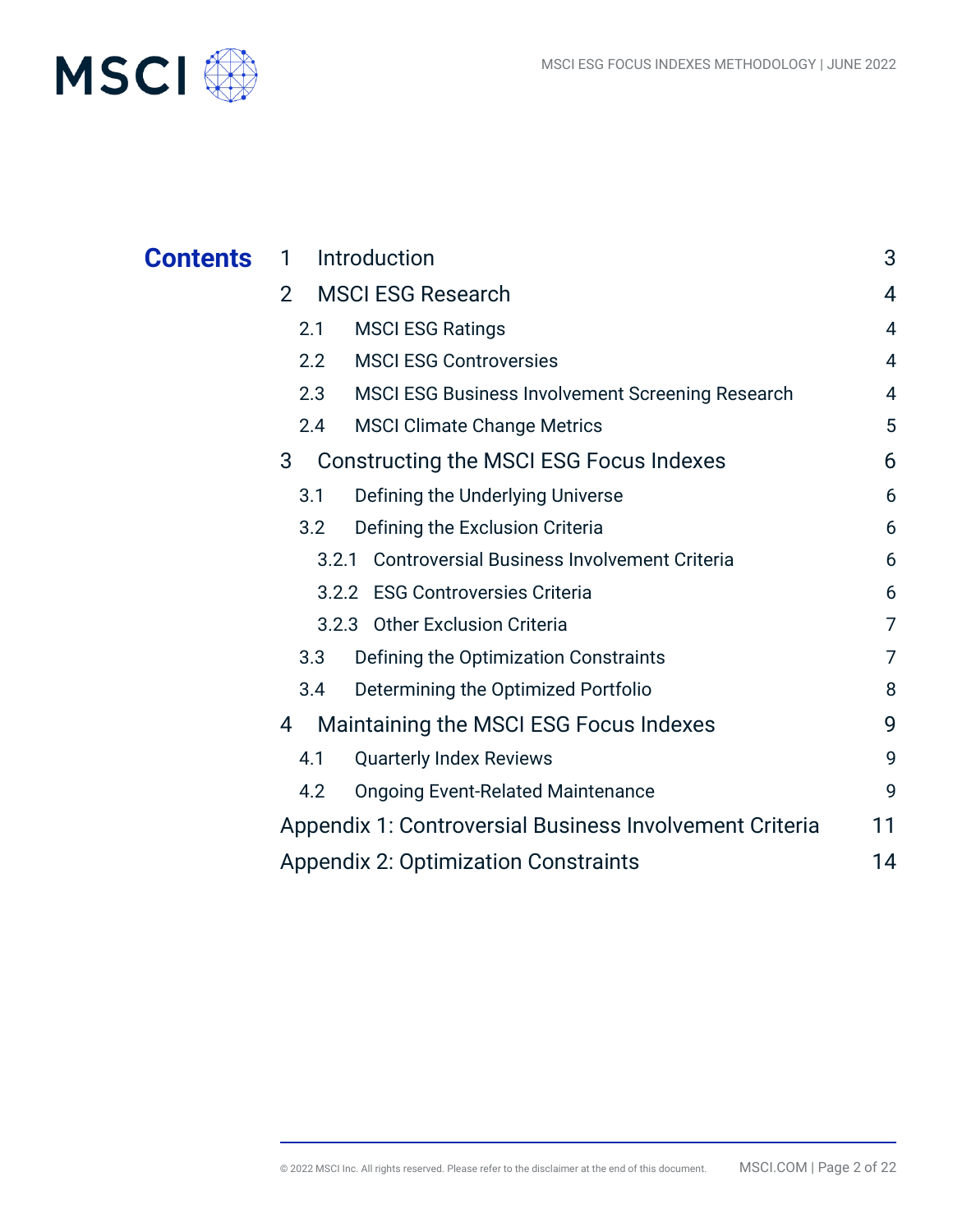

| <b>Contents</b> | Introduction<br>1                                              | 3  |
|-----------------|----------------------------------------------------------------|----|
|                 | <b>MSCI ESG Research</b><br>$\overline{2}$                     | 4  |
|                 | <b>MSCI ESG Ratings</b><br>2.1                                 | 4  |
|                 | <b>MSCI ESG Controversies</b><br>2.2                           | 4  |
|                 | 2.3<br><b>MSCI ESG Business Involvement Screening Research</b> | 4  |
|                 | <b>MSCI Climate Change Metrics</b><br>2.4                      | 5  |
|                 | Constructing the MSCI ESG Focus Indexes<br>3                   | 6  |
|                 | Defining the Underlying Universe<br>3.1                        | 6  |
|                 | Defining the Exclusion Criteria<br>3.2                         | 6  |
|                 | <b>Controversial Business Involvement Criteria</b><br>3.2.1    | 6  |
|                 | 3.2.2 ESG Controversies Criteria                               | 6  |
|                 | 3.2.3 Other Exclusion Criteria                                 | 7  |
|                 | 3.3<br>Defining the Optimization Constraints                   | 7  |
|                 | 3.4<br>Determining the Optimized Portfolio                     | 8  |
|                 | Maintaining the MSCI ESG Focus Indexes<br>4                    | 9  |
|                 | 4.1<br><b>Quarterly Index Reviews</b>                          | 9  |
|                 | <b>Ongoing Event-Related Maintenance</b><br>4.2                | 9  |
|                 | Appendix 1: Controversial Business Involvement Criteria        | 11 |
|                 | <b>Appendix 2: Optimization Constraints</b>                    | 14 |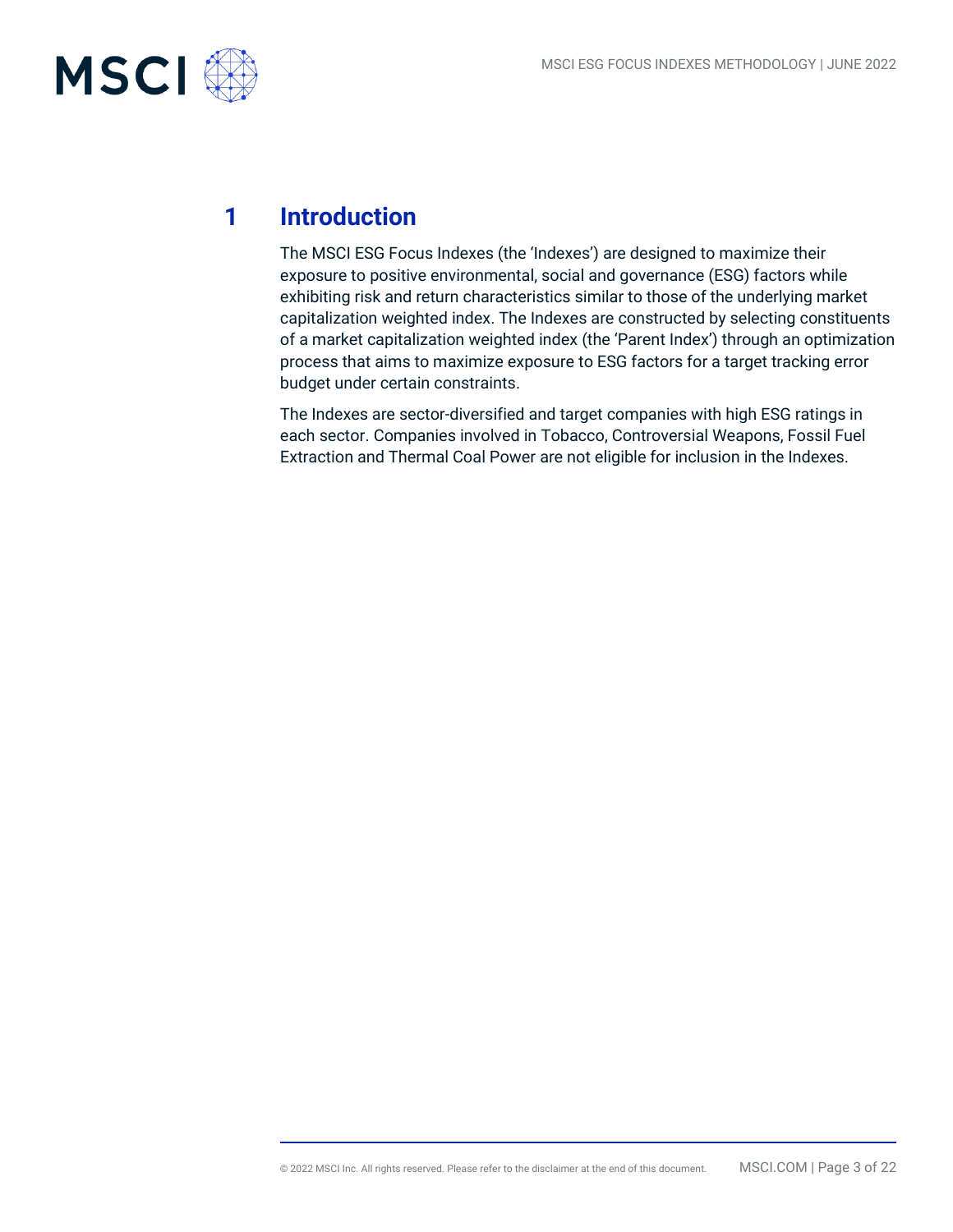

## **1 Introduction**

The MSCI ESG Focus Indexes (the 'Indexes') are designed to maximize their exposure to positive environmental, social and governance (ESG) factors while exhibiting risk and return characteristics similar to those of the underlying market capitalization weighted index. The Indexes are constructed by selecting constituents of a market capitalization weighted index (the 'Parent Index') through an optimization process that aims to maximize exposure to ESG factors for a target tracking error budget under certain constraints.

The Indexes are sector-diversified and target companies with high ESG ratings in each sector. Companies involved in Tobacco, Controversial Weapons, Fossil Fuel Extraction and Thermal Coal Power are not eligible for inclusion in the Indexes.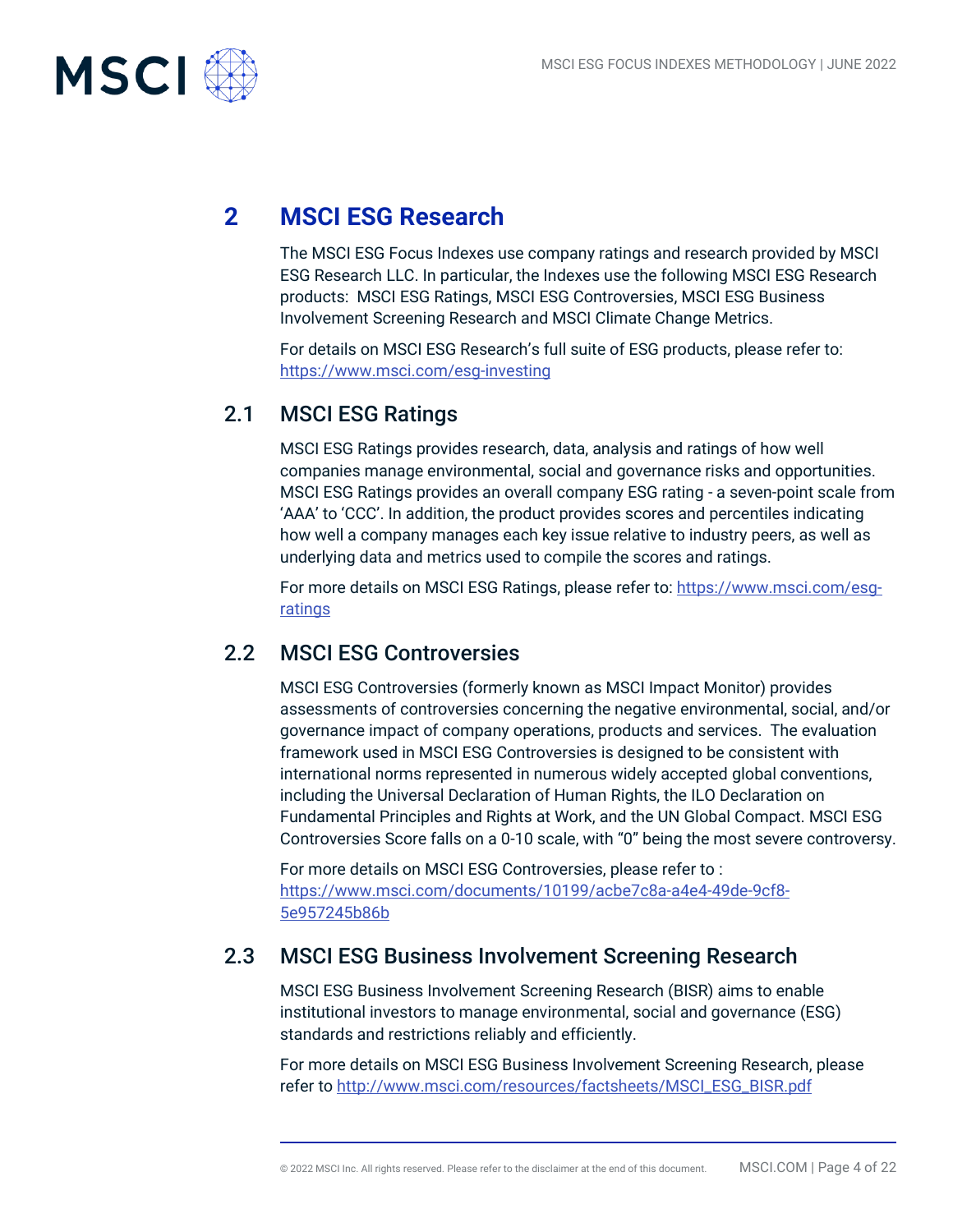

## **2 MSCI ESG Research**

The MSCI ESG Focus Indexes use company ratings and research provided by MSCI ESG Research LLC. In particular, the Indexes use the following MSCI ESG Research products: MSCI ESG Ratings, MSCI ESG Controversies, MSCI ESG Business Involvement Screening Research and MSCI Climate Change Metrics.

For details on MSCI ESG Research's full suite of ESG products, please refer to: https://www.msci.com/esg-investing

## 2.1 MSCI ESG Ratings

MSCI ESG Ratings provides research, data, analysis and ratings of how well companies manage environmental, social and governance risks and opportunities. MSCI ESG Ratings provides an overall company ESG rating - a seven-point scale from 'AAA' to 'CCC'. In addition, the product provides scores and percentiles indicating how well a company manages each key issue relative to industry peers, as well as underlying data and metrics used to compile the scores and ratings.

For more details on MSCI ESG Ratings, please refer to: [https://www.msci.com/esg](https://www.msci.com/esg-ratings)[ratings](https://www.msci.com/esg-ratings)

## 2.2 MSCI ESG Controversies

MSCI ESG Controversies (formerly known as MSCI Impact Monitor) provides assessments of controversies concerning the negative environmental, social, and/or governance impact of company operations, products and services. The evaluation framework used in MSCI ESG Controversies is designed to be consistent with international norms represented in numerous widely accepted global conventions, including the Universal Declaration of Human Rights, the ILO Declaration on Fundamental Principles and Rights at Work, and the UN Global Compact. MSCI ESG Controversies Score falls on a 0-10 scale, with "0" being the most severe controversy.

For more details on MSCI ESG Controversies, please refer to : [https://www.msci.com/documents/10199/acbe7c8a-a4e4-49de-9cf8-](https://www.msci.com/documents/10199/acbe7c8a-a4e4-49de-9cf8-5e957245b86b) [5e957245b86b](https://www.msci.com/documents/10199/acbe7c8a-a4e4-49de-9cf8-5e957245b86b)

## 2.3 MSCI ESG Business Involvement Screening Research

MSCI ESG Business Involvement Screening Research (BISR) aims to enable institutional investors to manage environmental, social and governance (ESG) standards and restrictions reliably and efficiently.

For more details on MSCI ESG Business Involvement Screening Research, please refer to [http://www.msci.com/resources/factsheets/MSCI\\_ESG\\_BISR.pdf](http://www.msci.com/resources/factsheets/MSCI_ESG_BISR.pdf)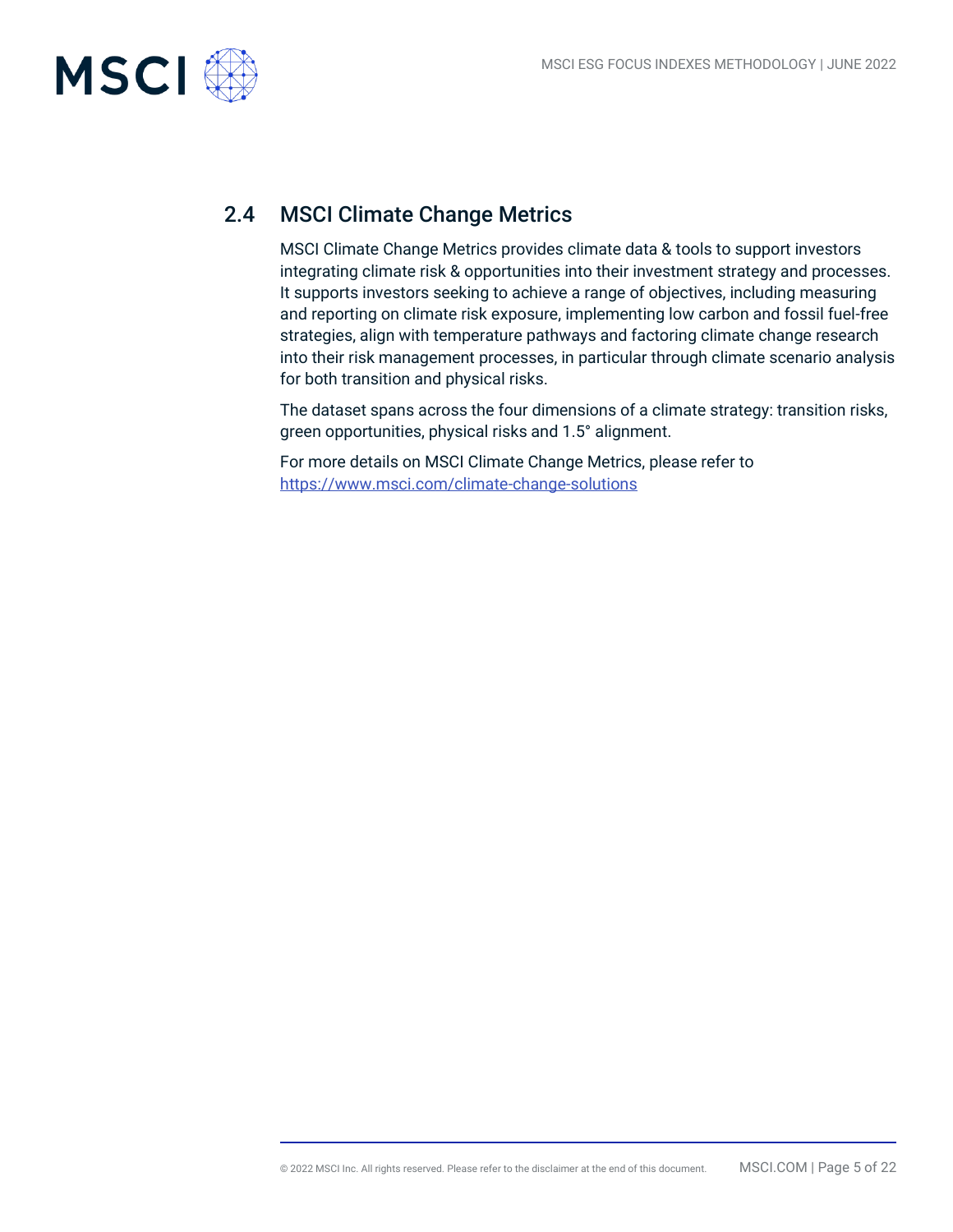

## 2.4 MSCI Climate Change Metrics

MSCI Climate Change Metrics provides climate data & tools to support investors integrating climate risk & opportunities into their investment strategy and processes. It supports investors seeking to achieve a range of objectives, including measuring and reporting on climate risk exposure, implementing low carbon and fossil fuel-free strategies, align with temperature pathways and factoring climate change research into their risk management processes, in particular through climate scenario analysis for both transition and physical risks.

The dataset spans across the four dimensions of a climate strategy: transition risks, green opportunities, physical risks and 1.5° alignment.

For more details on MSCI Climate Change Metrics, please refer to https://www.msci.com/climate-change-solutions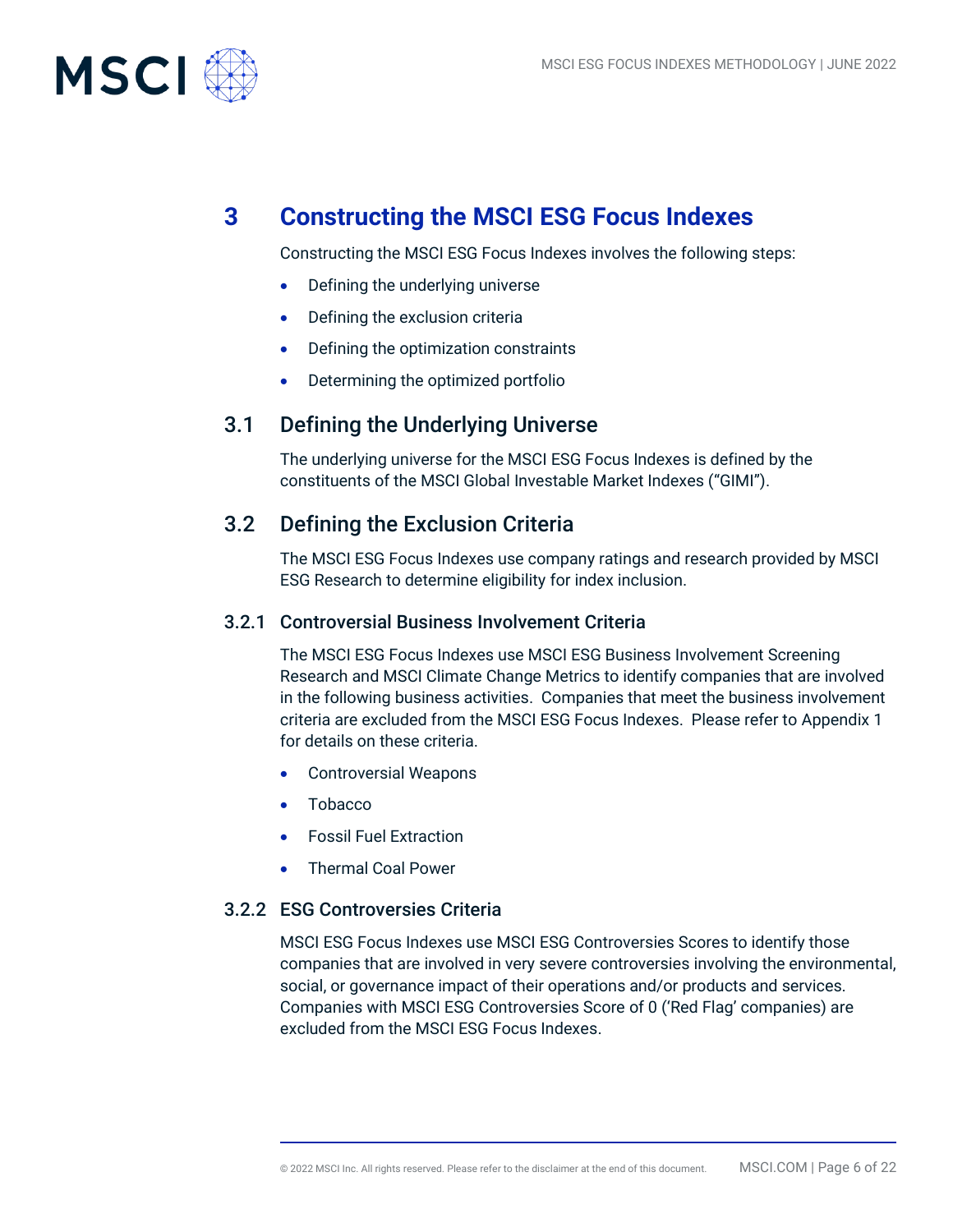

## **3 Constructing the MSCI ESG Focus Indexes**

Constructing the MSCI ESG Focus Indexes involves the following steps:

- Defining the underlying universe
- Defining the exclusion criteria
- Defining the optimization constraints
- Determining the optimized portfolio

### 3.1 Defining the Underlying Universe

The underlying universe for the MSCI ESG Focus Indexes is defined by the constituents of the MSCI Global Investable Market Indexes ("GIMI").

## 3.2 Defining the Exclusion Criteria

The MSCI ESG Focus Indexes use company ratings and research provided by MSCI ESG Research to determine eligibility for index inclusion.

#### 3.2.1 Controversial Business Involvement Criteria

The MSCI ESG Focus Indexes use MSCI ESG Business Involvement Screening Research and MSCI Climate Change Metrics to identify companies that are involved in the following business activities. Companies that meet the business involvement criteria are excluded from the MSCI ESG Focus Indexes. Please refer to Appendix 1 for details on these criteria.

- Controversial Weapons
- Tobacco
- Fossil Fuel Extraction
- Thermal Coal Power

#### 3.2.2 ESG Controversies Criteria

MSCI ESG Focus Indexes use MSCI ESG Controversies Scores to identify those companies that are involved in very severe controversies involving the environmental, social, or governance impact of their operations and/or products and services. Companies with MSCI ESG Controversies Score of 0 ('Red Flag' companies) are excluded from the MSCI ESG Focus Indexes.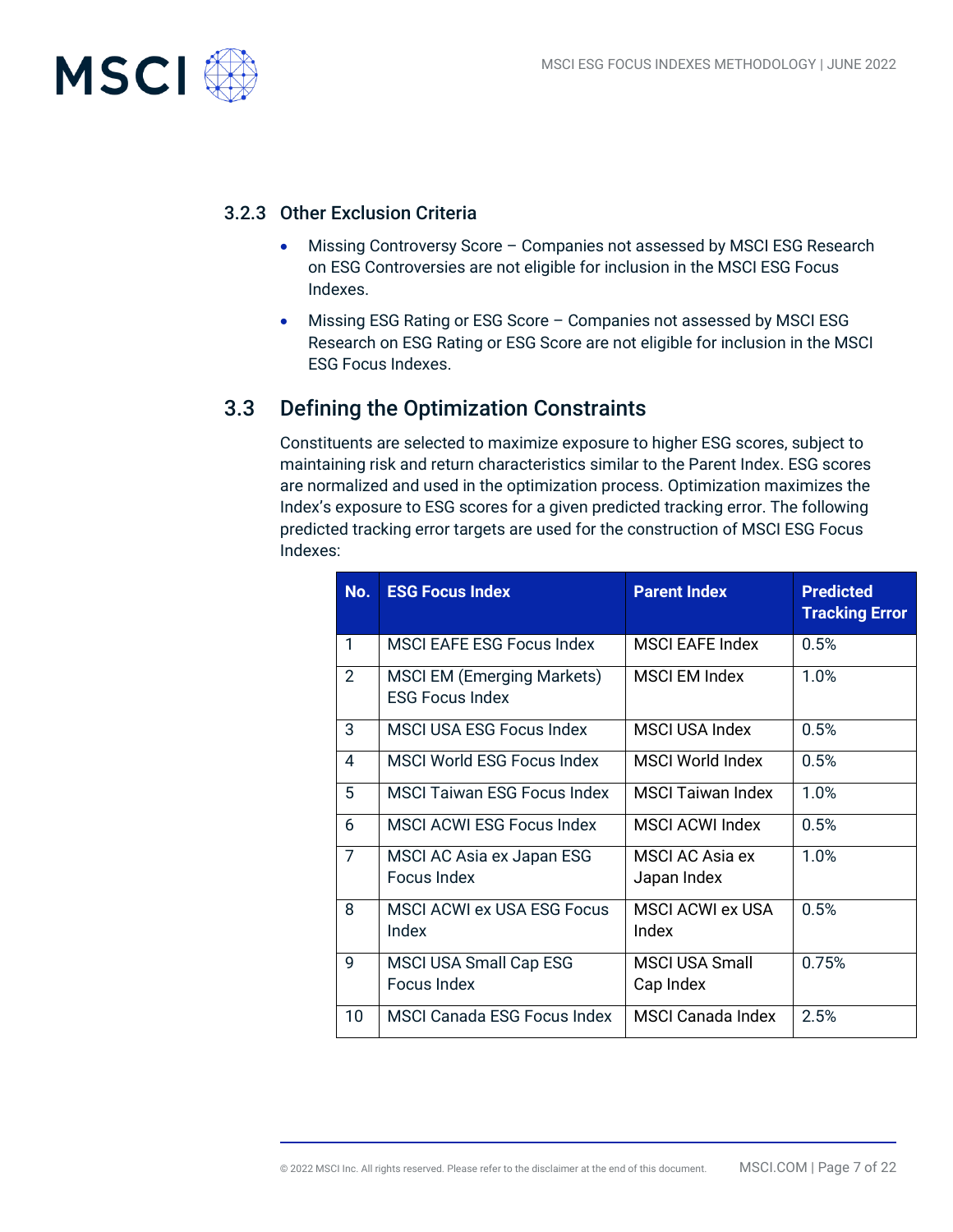

#### 3.2.3 Other Exclusion Criteria

- Missing Controversy Score Companies not assessed by MSCI ESG Research on ESG Controversies are not eligible for inclusion in the MSCI ESG Focus Indexes.
- Missing ESG Rating or ESG Score Companies not assessed by MSCI ESG Research on ESG Rating or ESG Score are not eligible for inclusion in the MSCI ESG Focus Indexes.

## 3.3 Defining the Optimization Constraints

Constituents are selected to maximize exposure to higher ESG scores, subject to maintaining risk and return characteristics similar to the Parent Index. ESG scores are normalized and used in the optimization process. Optimization maximizes the Index's exposure to ESG scores for a given predicted tracking error. The following predicted tracking error targets are used for the construction of MSCI ESG Focus Indexes:

| No.            | <b>ESG Focus Index</b>                                      | <b>Parent Index</b>              | <b>Predicted</b><br><b>Tracking Error</b> |
|----------------|-------------------------------------------------------------|----------------------------------|-------------------------------------------|
| 1              | MSCI EAFE ESG Focus Index                                   | <b>MSCI EAFE Index</b>           | 0.5%                                      |
| $\overline{2}$ | <b>MSCI EM (Emerging Markets)</b><br><b>ESG Focus Index</b> | <b>MSCI EM Index</b>             | 1.0%                                      |
| 3              | <b>MSCI USA ESG Focus Index</b>                             | <b>MSCI USA Index</b>            | 0.5%                                      |
| 4              | <b>MSCI World ESG Focus Index</b>                           | MSCI World Index                 | 0.5%                                      |
| 5              | <b>MSCI Taiwan ESG Focus Index</b>                          | <b>MSCI Taiwan Index</b>         | 1.0%                                      |
| 6              | <b>MSCI ACWI ESG Focus Index</b>                            | <b>MSCI ACWI Index</b>           | 0.5%                                      |
| $\overline{7}$ | MSCI AC Asia ex Japan ESG<br>Focus Index                    | MSCI AC Asia ex<br>Japan Index   | 1.0%                                      |
| 8              | <b>MSCI ACWI ex USA ESG Focus</b><br>Index                  | <b>MSCI ACWI ex USA</b><br>Index | 0.5%                                      |
| $\mathsf{Q}$   | <b>MSCI USA Small Cap ESG</b><br>Focus Index                | MSCI USA Small<br>Cap Index      | 0.75%                                     |
| 10             | <b>MSCI Canada ESG Focus Index</b>                          | <b>MSCI Canada Index</b>         | 2.5%                                      |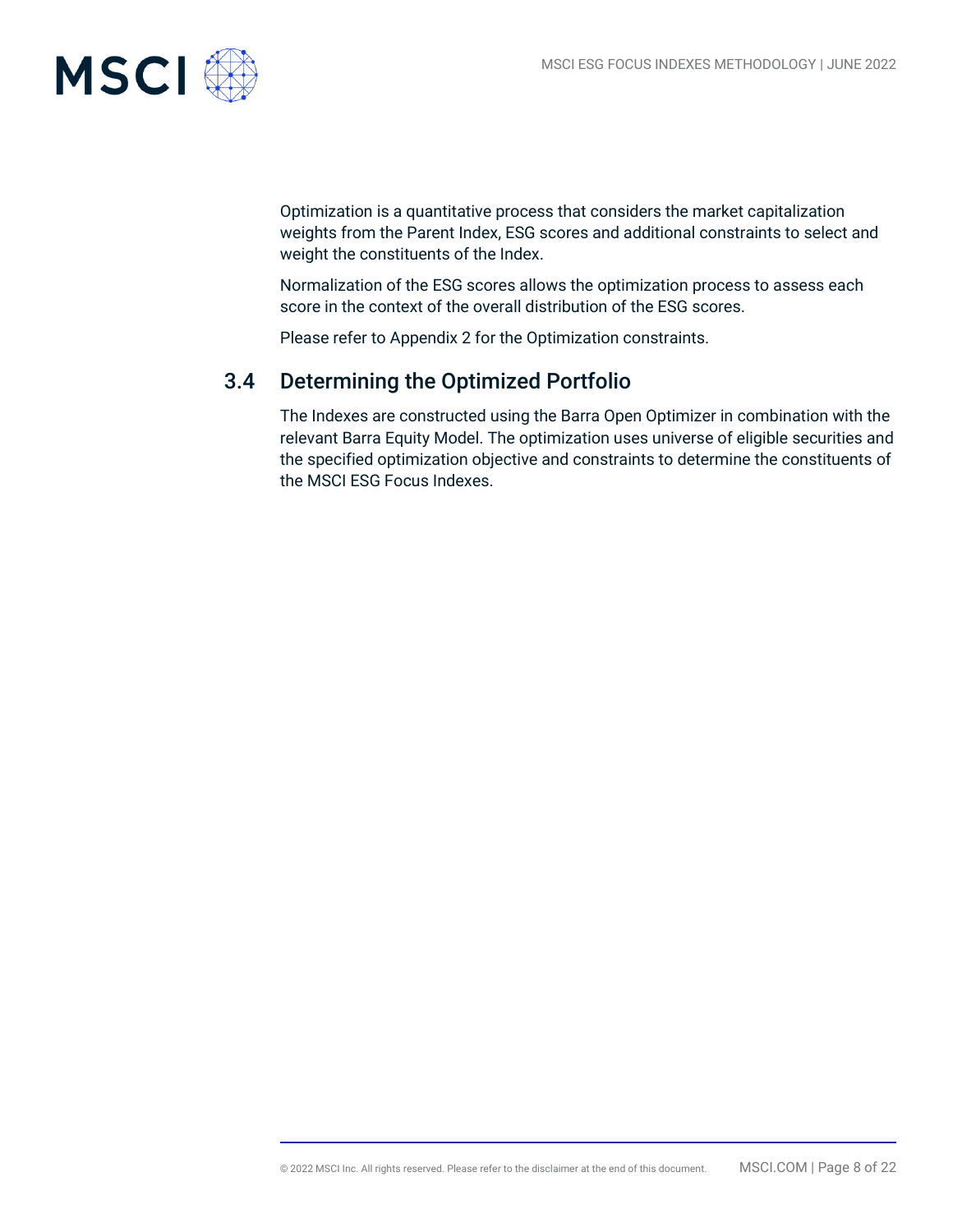

Optimization is a quantitative process that considers the market capitalization weights from the Parent Index, ESG scores and additional constraints to select and weight the constituents of the Index.

Normalization of the ESG scores allows the optimization process to assess each score in the context of the overall distribution of the ESG scores.

Please refer to Appendix 2 for the Optimization constraints.

## 3.4 Determining the Optimized Portfolio

The Indexes are constructed using the Barra Open Optimizer in combination with the relevant Barra Equity Model. The optimization uses universe of eligible securities and the specified optimization objective and constraints to determine the constituents of the MSCI ESG Focus Indexes.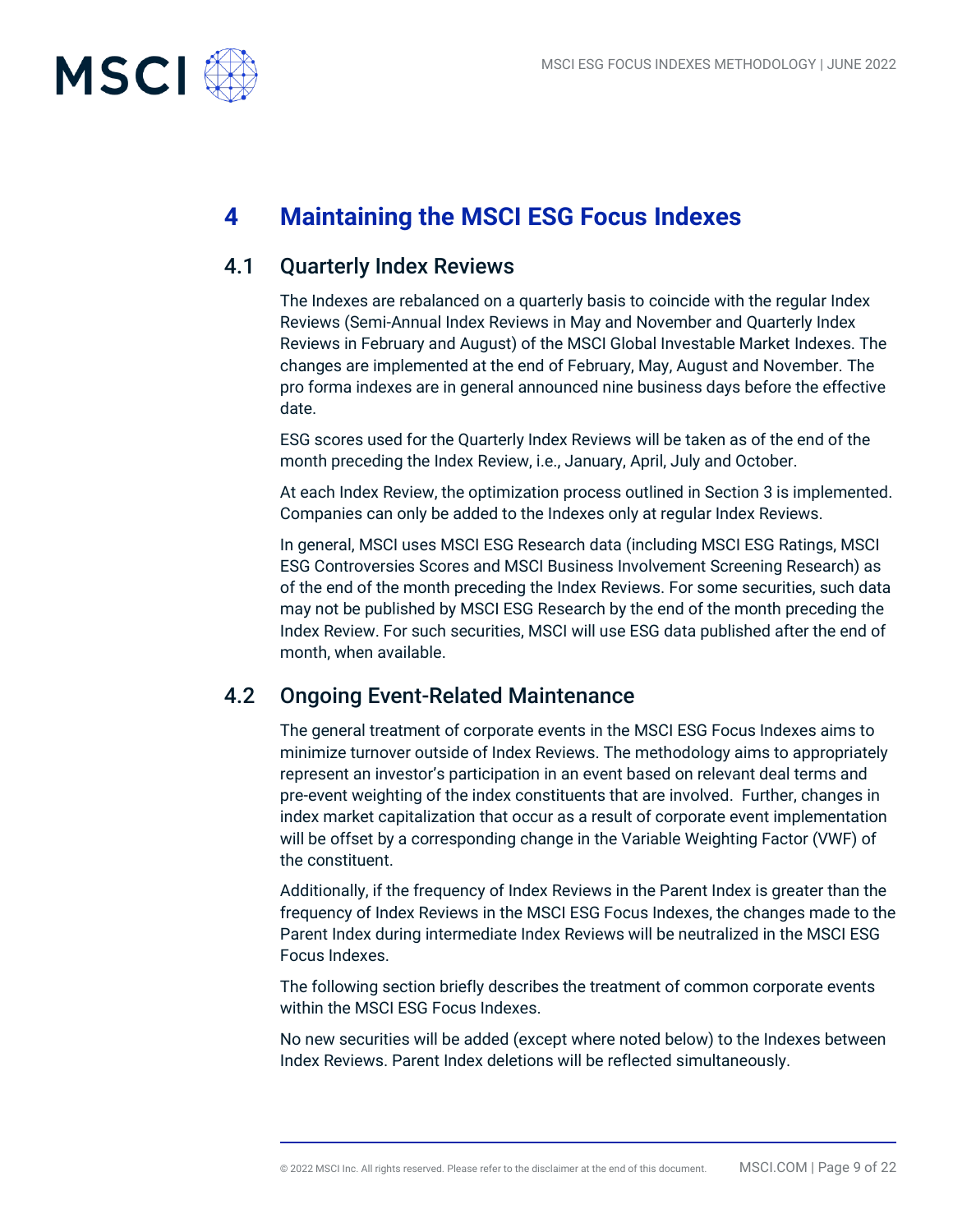

## **4 Maintaining the MSCI ESG Focus Indexes**

## 4.1 Quarterly Index Reviews

The Indexes are rebalanced on a quarterly basis to coincide with the regular Index Reviews (Semi-Annual Index Reviews in May and November and Quarterly Index Reviews in February and August) of the MSCI Global Investable Market Indexes. The changes are implemented at the end of February, May, August and November. The pro forma indexes are in general announced nine business days before the effective date.

ESG scores used for the Quarterly Index Reviews will be taken as of the end of the month preceding the Index Review, i.e., January, April, July and October.

At each Index Review, the optimization process outlined in Section 3 is implemented. Companies can only be added to the Indexes only at regular Index Reviews.

In general, MSCI uses MSCI ESG Research data (including MSCI ESG Ratings, MSCI ESG Controversies Scores and MSCI Business Involvement Screening Research) as of the end of the month preceding the Index Reviews. For some securities, such data may not be published by MSCI ESG Research by the end of the month preceding the Index Review. For such securities, MSCI will use ESG data published after the end of month, when available.

## 4.2 Ongoing Event-Related Maintenance

The general treatment of corporate events in the MSCI ESG Focus Indexes aims to minimize turnover outside of Index Reviews. The methodology aims to appropriately represent an investor's participation in an event based on relevant deal terms and pre-event weighting of the index constituents that are involved. Further, changes in index market capitalization that occur as a result of corporate event implementation will be offset by a corresponding change in the Variable Weighting Factor (VWF) of the constituent.

Additionally, if the frequency of Index Reviews in the Parent Index is greater than the frequency of Index Reviews in the MSCI ESG Focus Indexes, the changes made to the Parent Index during intermediate Index Reviews will be neutralized in the MSCI ESG Focus Indexes.

The following section briefly describes the treatment of common corporate events within the MSCI ESG Focus Indexes.

No new securities will be added (except where noted below) to the Indexes between Index Reviews. Parent Index deletions will be reflected simultaneously.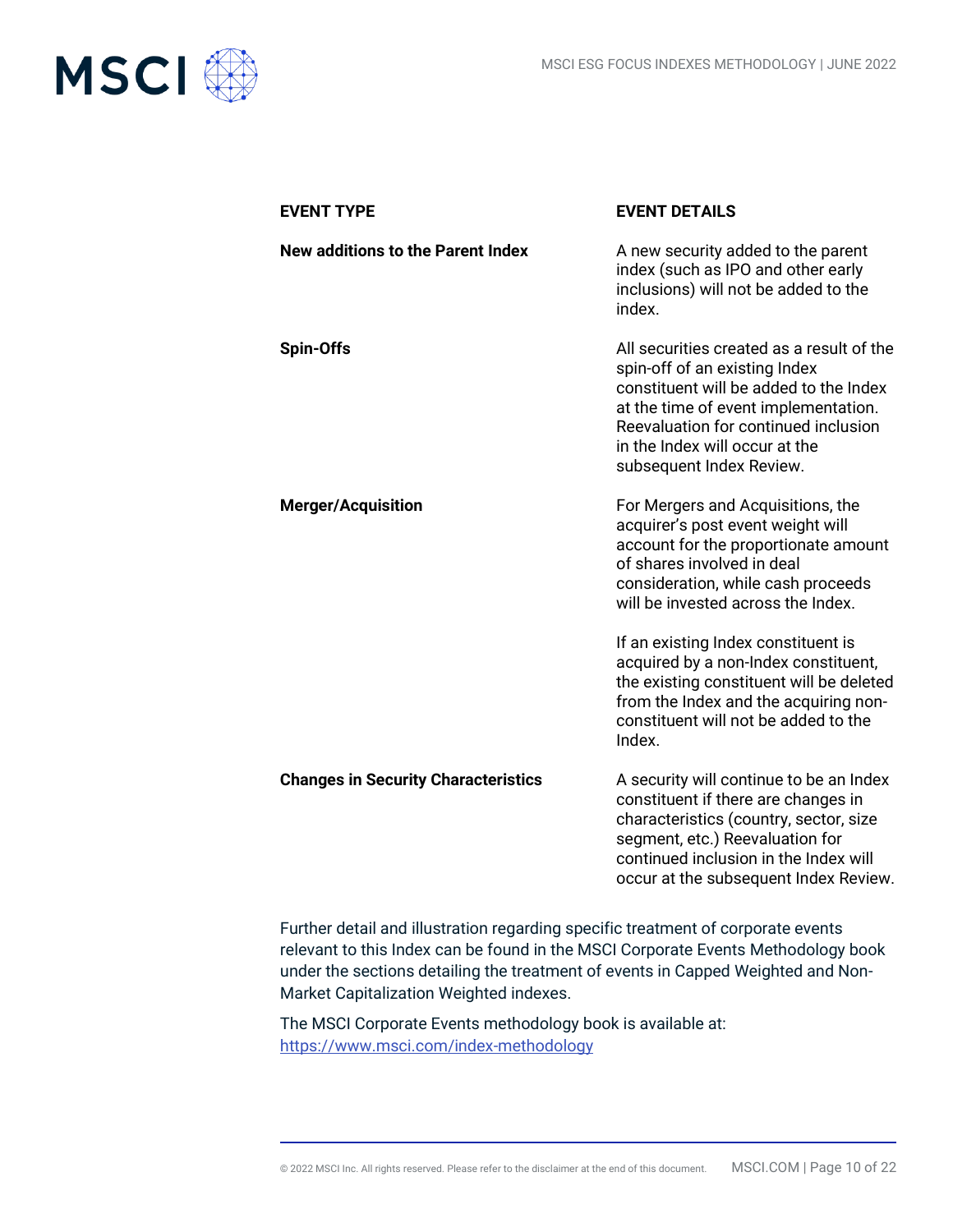

| <b>EVENT TYPE</b>                          | <b>EVENT DETAILS</b>                                                                                                                                                                                                                                               |
|--------------------------------------------|--------------------------------------------------------------------------------------------------------------------------------------------------------------------------------------------------------------------------------------------------------------------|
| <b>New additions to the Parent Index</b>   | A new security added to the parent<br>index (such as IPO and other early<br>inclusions) will not be added to the<br>index.                                                                                                                                         |
| <b>Spin-Offs</b>                           | All securities created as a result of the<br>spin-off of an existing Index<br>constituent will be added to the Index<br>at the time of event implementation.<br>Reevaluation for continued inclusion<br>in the Index will occur at the<br>subsequent Index Review. |
| <b>Merger/Acquisition</b>                  | For Mergers and Acquisitions, the<br>acquirer's post event weight will<br>account for the proportionate amount<br>of shares involved in deal<br>consideration, while cash proceeds<br>will be invested across the Index.                                           |
|                                            | If an existing Index constituent is<br>acquired by a non-Index constituent,<br>the existing constituent will be deleted<br>from the Index and the acquiring non-<br>constituent will not be added to the<br>Index.                                                 |
| <b>Changes in Security Characteristics</b> | A security will continue to be an Index<br>constituent if there are changes in<br>characteristics (country, sector, size<br>segment, etc.) Reevaluation for<br>continued inclusion in the Index will<br>occur at the subsequent Index Review.                      |

Further detail and illustration regarding specific treatment of corporate events relevant to this Index can be found in the MSCI Corporate Events Methodology book under the sections detailing the treatment of events in Capped Weighted and Non-Market Capitalization Weighted indexes.

The MSCI Corporate Events methodology book is available at: <https://www.msci.com/index-methodology>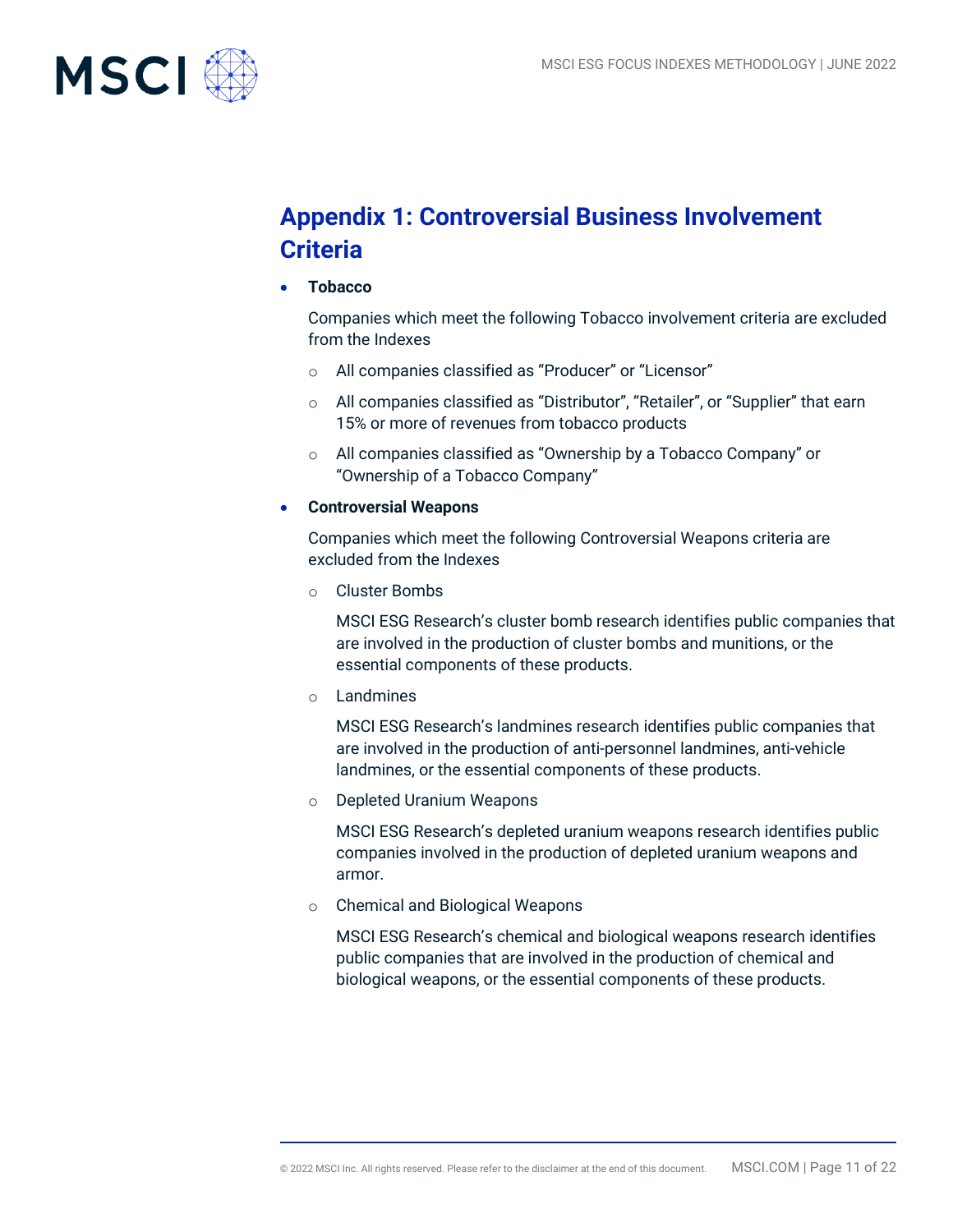

## **Appendix 1: Controversial Business Involvement Criteria**

• **Tobacco**

Companies which meet the following Tobacco involvement criteria are excluded from the Indexes

- o All companies classified as "Producer" or "Licensor"
- o All companies classified as "Distributor", "Retailer", or "Supplier" that earn 15% or more of revenues from tobacco products
- o All companies classified as "Ownership by a Tobacco Company" or "Ownership of a Tobacco Company"
- **Controversial Weapons**

Companies which meet the following Controversial Weapons criteria are excluded from the Indexes

o Cluster Bombs

MSCI ESG Research's cluster bomb research identifies public companies that are involved in the production of cluster bombs and munitions, or the essential components of these products.

o Landmines

MSCI ESG Research's landmines research identifies public companies that are involved in the production of anti‐personnel landmines, anti‐vehicle landmines, or the essential components of these products.

o Depleted Uranium Weapons

MSCI ESG Research's depleted uranium weapons research identifies public companies involved in the production of depleted uranium weapons and armor.

o Chemical and Biological Weapons

MSCI ESG Research's chemical and biological weapons research identifies public companies that are involved in the production of chemical and biological weapons, or the essential components of these products.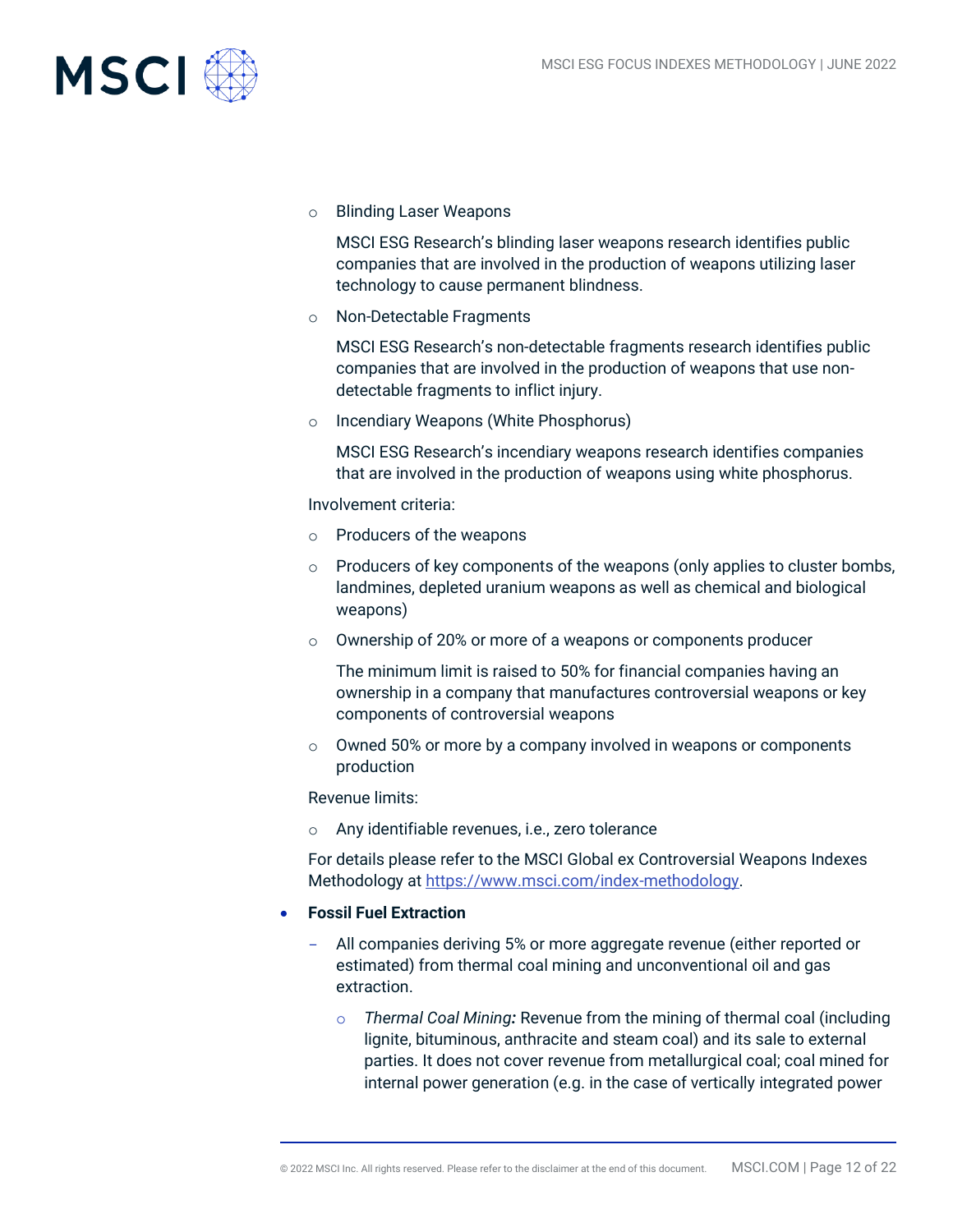

o Blinding Laser Weapons

MSCI ESG Research's blinding laser weapons research identifies public companies that are involved in the production of weapons utilizing laser technology to cause permanent blindness.

o Non-Detectable Fragments

MSCI ESG Research's non-detectable fragments research identifies public companies that are involved in the production of weapons that use nondetectable fragments to inflict injury.

o Incendiary Weapons (White Phosphorus)

MSCI ESG Research's incendiary weapons research identifies companies that are involved in the production of weapons using white phosphorus.

Involvement criteria:

- o Producers of the weapons
- $\circ$  Producers of key components of the weapons (only applies to cluster bombs, landmines, depleted uranium weapons as well as chemical and biological weapons)
- o Ownership of 20% or more of a weapons or components producer

The minimum limit is raised to 50% for financial companies having an ownership in a company that manufactures controversial weapons or key components of controversial weapons

 $\circ$  Owned 50% or more by a company involved in weapons or components production

Revenue limits:

o Any identifiable revenues, i.e., zero tolerance

For details please refer to the MSCI Global ex Controversial Weapons Indexes Methodology a[t https://www.msci.com/index-methodology.](https://www.msci.com/index-methodology)

- **Fossil Fuel Extraction**
	- All companies deriving 5% or more aggregate revenue (either reported or estimated) from thermal coal mining and unconventional oil and gas extraction.
		- o *Thermal Coal Mining:* Revenue from the mining of thermal coal (including lignite, bituminous, anthracite and steam coal) and its sale to external parties. It does not cover revenue from metallurgical coal; coal mined for internal power generation (e.g. in the case of vertically integrated power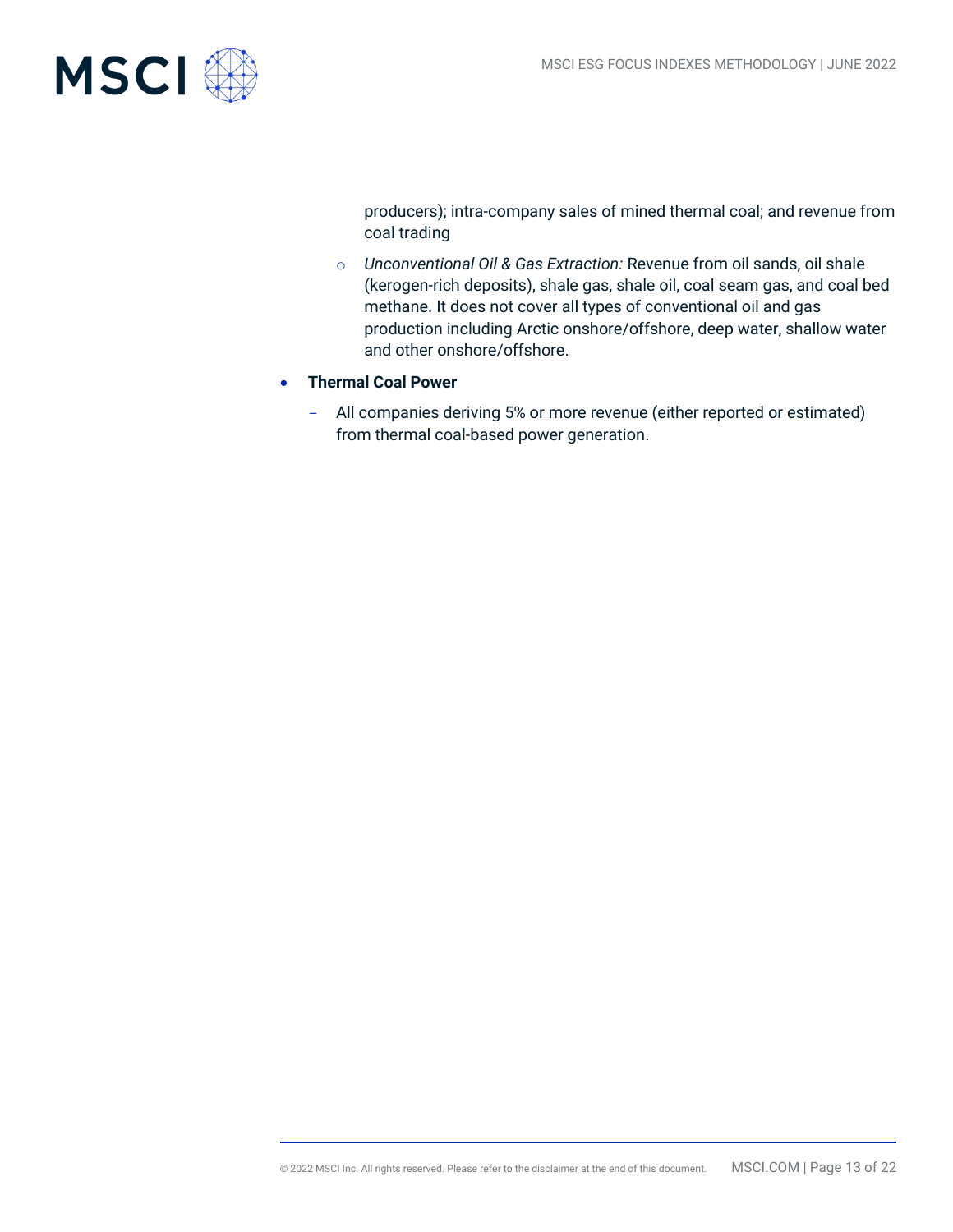

producers); intra-company sales of mined thermal coal; and revenue from coal trading

- o *Unconventional Oil & Gas Extraction:* Revenue from oil sands, oil shale (kerogen-rich deposits), shale gas, shale oil, coal seam gas, and coal bed methane. It does not cover all types of conventional oil and gas production including Arctic onshore/offshore, deep water, shallow water and other onshore/offshore.
- **Thermal Coal Power**
	- All companies deriving 5% or more revenue (either reported or estimated) from thermal coal-based power generation.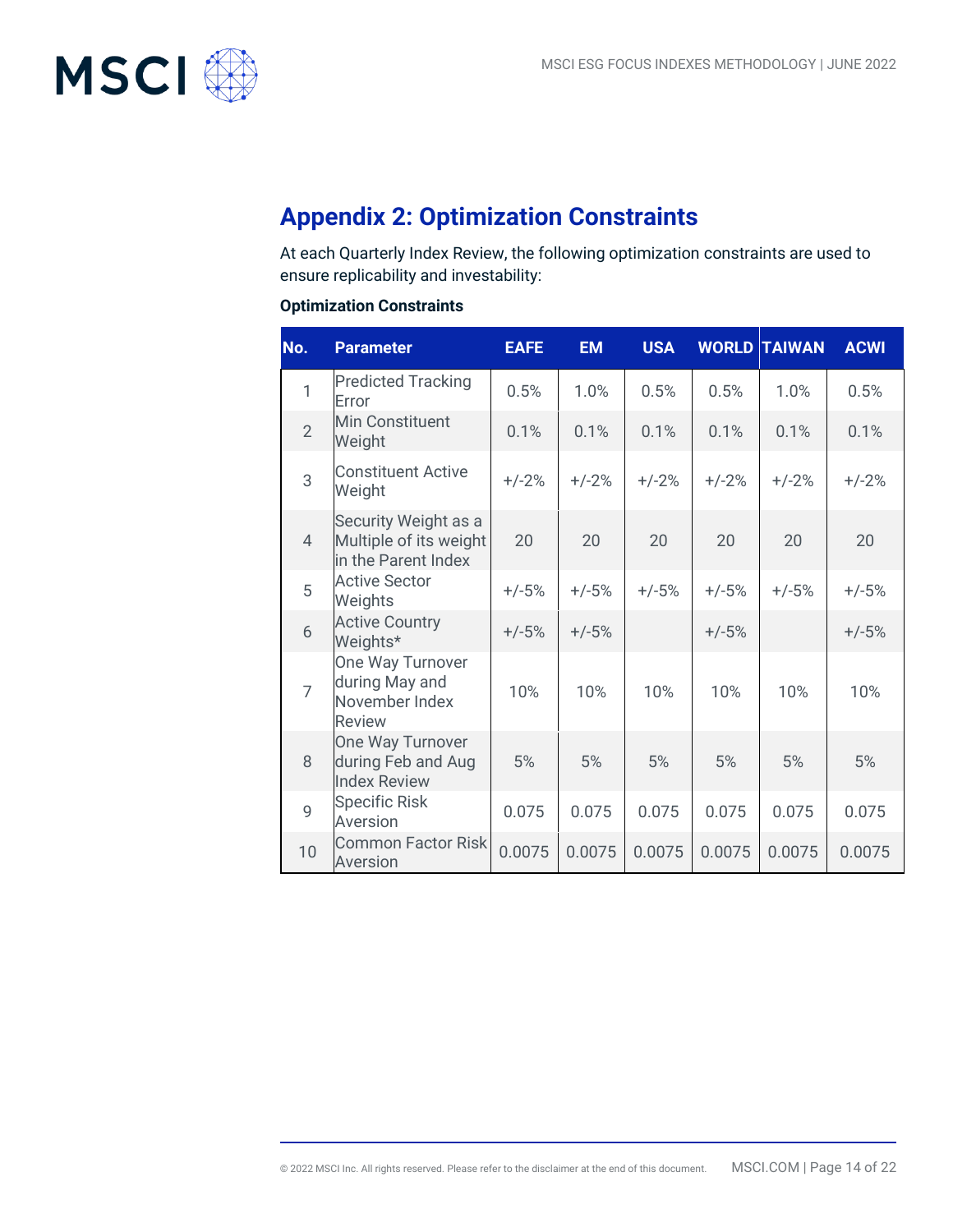

## **Appendix 2: Optimization Constraints**

At each Quarterly Index Review, the following optimization constraints are used to ensure replicability and investability:

#### **Optimization Constraints**

| No.            | <b>Parameter</b>                                                      | <b>EAFE</b> | <b>EM</b> | <b>USA</b> |         | <b>WORLD TAIWAN</b> | <b>ACWI</b> |
|----------------|-----------------------------------------------------------------------|-------------|-----------|------------|---------|---------------------|-------------|
| $\overline{1}$ | <b>Predicted Tracking</b><br>Error                                    | 0.5%        | 1.0%      | 0.5%       | 0.5%    | 1.0%                | 0.5%        |
| $\overline{2}$ | <b>Min Constituent</b><br>Weight                                      | 0.1%        | 0.1%      | 0.1%       | 0.1%    | 0.1%                | 0.1%        |
| 3              | <b>Constituent Active</b><br>Weight                                   | $+/-2%$     | $+/-2%$   | $+/-2%$    | $+/-2%$ | $+/-2%$             | $+/-2%$     |
| $\overline{4}$ | Security Weight as a<br>Multiple of its weight<br>in the Parent Index | 20          | 20        | 20         | 20      | 20                  | 20          |
| 5              | <b>Active Sector</b><br>Weights                                       | $+/-5%$     | $+/-5%$   | $+/-5%$    | $+/-5%$ | $+/-5%$             | $+/-5%$     |
| 6              | <b>Active Country</b><br>Weights*                                     | $+/-5%$     | $+/-5%$   |            | $+/-5%$ |                     | $+/-5%$     |
| $\overline{7}$ | One Way Turnover<br>during May and<br>November Index<br><b>Review</b> | 10%         | 10%       | 10%        | 10%     | 10%                 | 10%         |
| 8              | One Way Turnover<br>during Feb and Aug<br><b>Index Review</b>         | 5%          | 5%        | 5%         | 5%      | 5%                  | 5%          |
| 9              | <b>Specific Risk</b><br>Aversion                                      | 0.075       | 0.075     | 0.075      | 0.075   | 0.075               | 0.075       |
| 10             | <b>Common Factor Risk</b><br>Aversion                                 | 0.0075      | 0.0075    | 0.0075     | 0.0075  | 0.0075              | 0.0075      |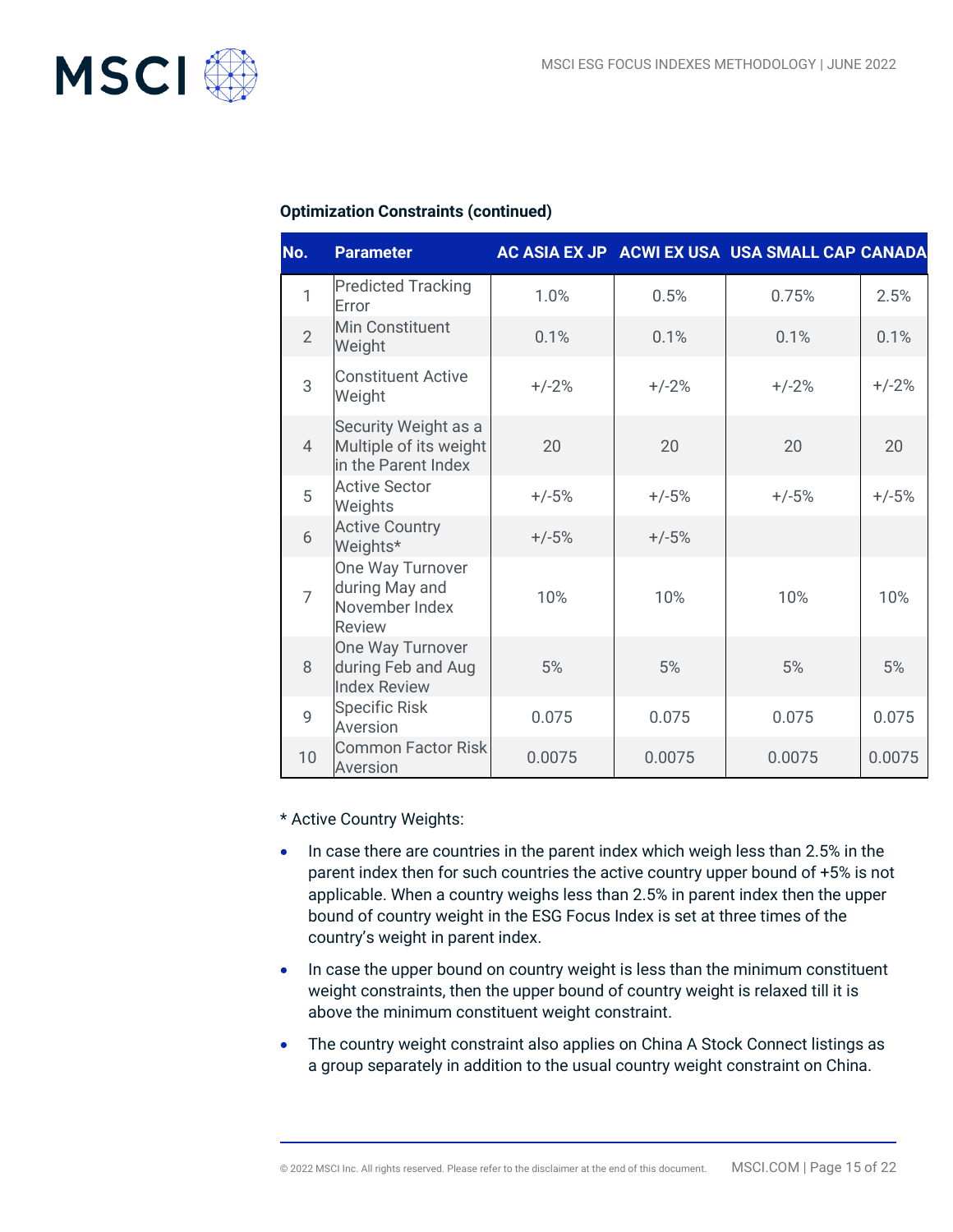

#### **Optimization Constraints (continued)**

| No.            | <b>Parameter</b>                                                      |         |         | AC ASIA EX JP ACWI EX USA USA SMALL CAP CANADA |         |
|----------------|-----------------------------------------------------------------------|---------|---------|------------------------------------------------|---------|
| $\mathbf{1}$   | <b>Predicted Tracking</b><br>Error                                    | 1.0%    | 0.5%    | 0.75%                                          | 2.5%    |
| $\overline{2}$ | Min Constituent<br>Weight                                             | 0.1%    | 0.1%    | 0.1%                                           | 0.1%    |
| 3              | <b>Constituent Active</b><br>Weight                                   | $+/-2%$ | $+/-2%$ | $+/-2%$                                        | $+/-2%$ |
| $\overline{4}$ | Security Weight as a<br>Multiple of its weight<br>in the Parent Index | 20      | 20      | 20                                             | 20      |
| 5              | <b>Active Sector</b><br>Weights                                       | $+/-5%$ | $+/-5%$ | $+/-5%$                                        | $+/-5%$ |
| 6              | <b>Active Country</b><br>Weights*                                     | $+/-5%$ | $+/-5%$ |                                                |         |
| $\overline{7}$ | One Way Turnover<br>during May and<br>November Index<br><b>Review</b> | 10%     | 10%     | 10%                                            | 10%     |
| 8              | One Way Turnover<br>during Feb and Aug<br><b>Index Review</b>         | 5%      | 5%      | 5%                                             | 5%      |
| $\overline{9}$ | <b>Specific Risk</b><br>Aversion                                      | 0.075   | 0.075   | 0.075                                          | 0.075   |
| 10             | <b>Common Factor Risk</b><br>Aversion                                 | 0.0075  | 0.0075  | 0.0075                                         | 0.0075  |

\* Active Country Weights:

- In case there are countries in the parent index which weigh less than 2.5% in the parent index then for such countries the active country upper bound of +5% is not applicable. When a country weighs less than 2.5% in parent index then the upper bound of country weight in the ESG Focus Index is set at three times of the country's weight in parent index.
- In case the upper bound on country weight is less than the minimum constituent weight constraints, then the upper bound of country weight is relaxed till it is above the minimum constituent weight constraint.
- The country weight constraint also applies on China A Stock Connect listings as a group separately in addition to the usual country weight constraint on China.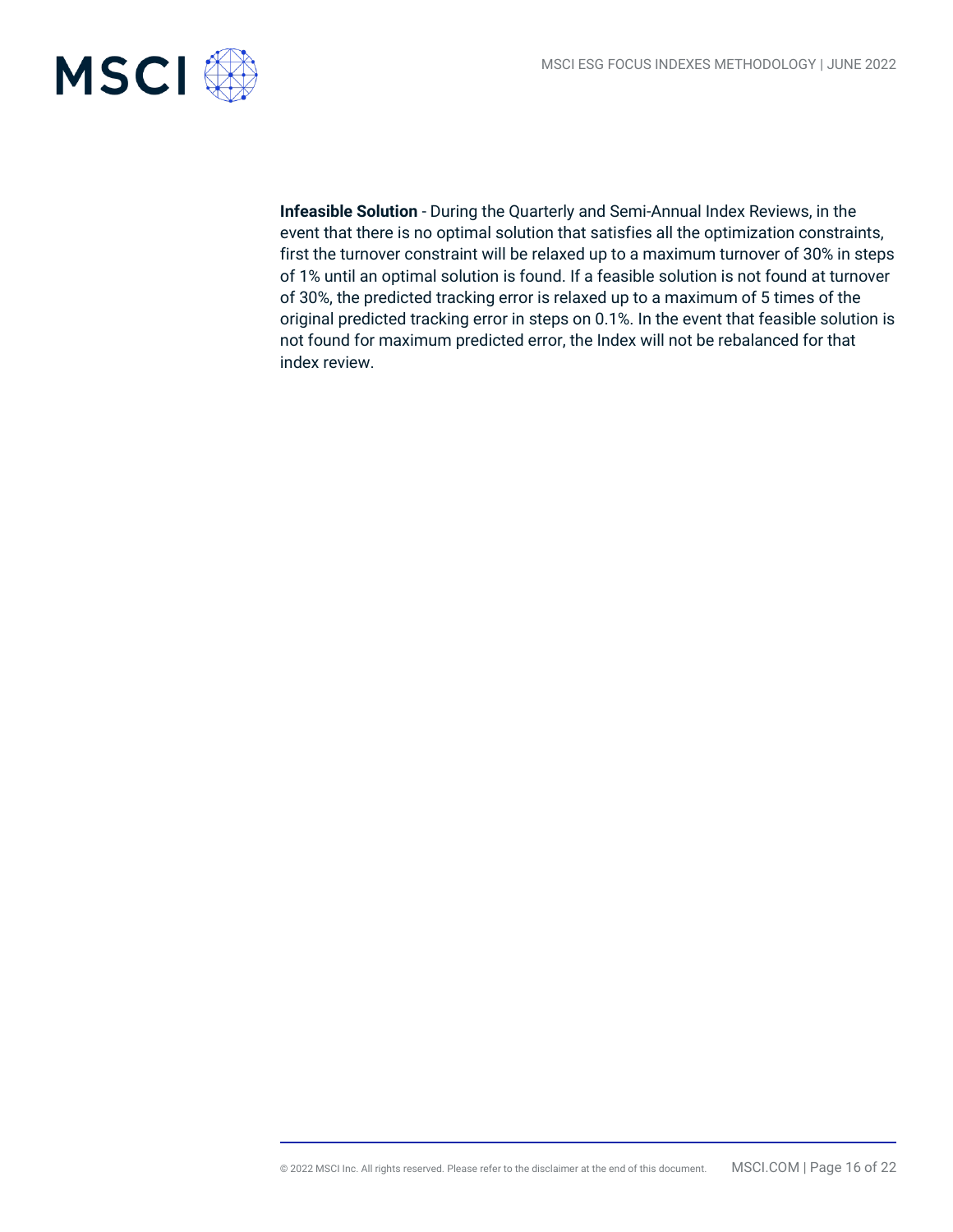

**Infeasible Solution** - During the Quarterly and Semi-Annual Index Reviews, in the event that there is no optimal solution that satisfies all the optimization constraints, first the turnover constraint will be relaxed up to a maximum turnover of 30% in steps of 1% until an optimal solution is found. If a feasible solution is not found at turnover of 30%, the predicted tracking error is relaxed up to a maximum of 5 times of the original predicted tracking error in steps on 0.1%. In the event that feasible solution is not found for maximum predicted error, the Index will not be rebalanced for that index review.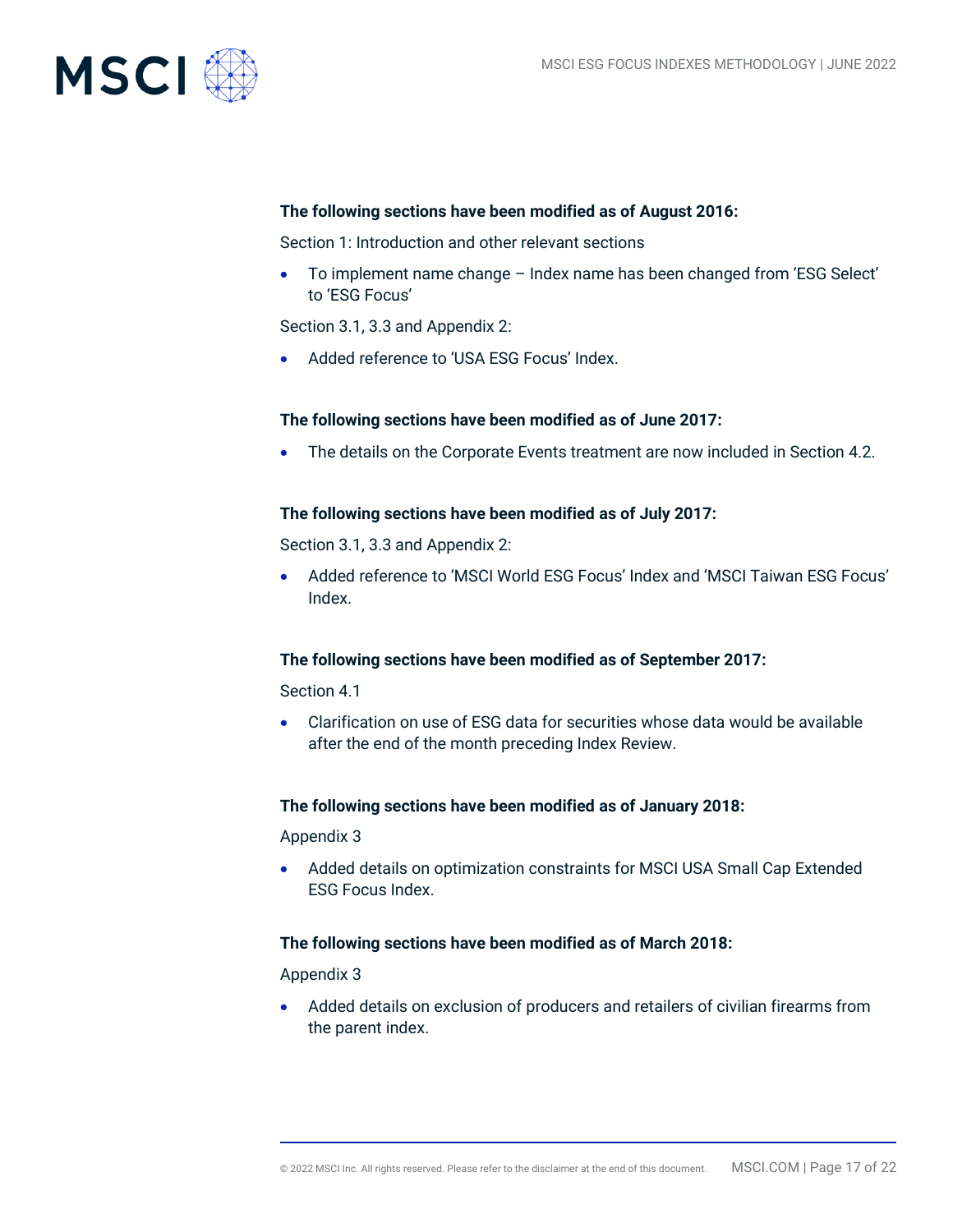

#### **The following sections have been modified as of August 2016:**

Section 1: Introduction and other relevant sections

• To implement name change – Index name has been changed from 'ESG Select' to 'ESG Focus'

Section 3.1, 3.3 and Appendix 2:

• Added reference to 'USA ESG Focus' Index.

#### **The following sections have been modified as of June 2017:**

• The details on the Corporate Events treatment are now included in Section 4.2.

#### **The following sections have been modified as of July 2017:**

Section 3.1, 3.3 and Appendix 2:

• Added reference to 'MSCI World ESG Focus' Index and 'MSCI Taiwan ESG Focus' Index.

#### **The following sections have been modified as of September 2017:**

Section 4.1

• Clarification on use of ESG data for securities whose data would be available after the end of the month preceding Index Review.

#### **The following sections have been modified as of January 2018:**

Appendix 3

• Added details on optimization constraints for MSCI USA Small Cap Extended ESG Focus Index.

#### **The following sections have been modified as of March 2018:**

Appendix 3

• Added details on exclusion of producers and retailers of civilian firearms from the parent index.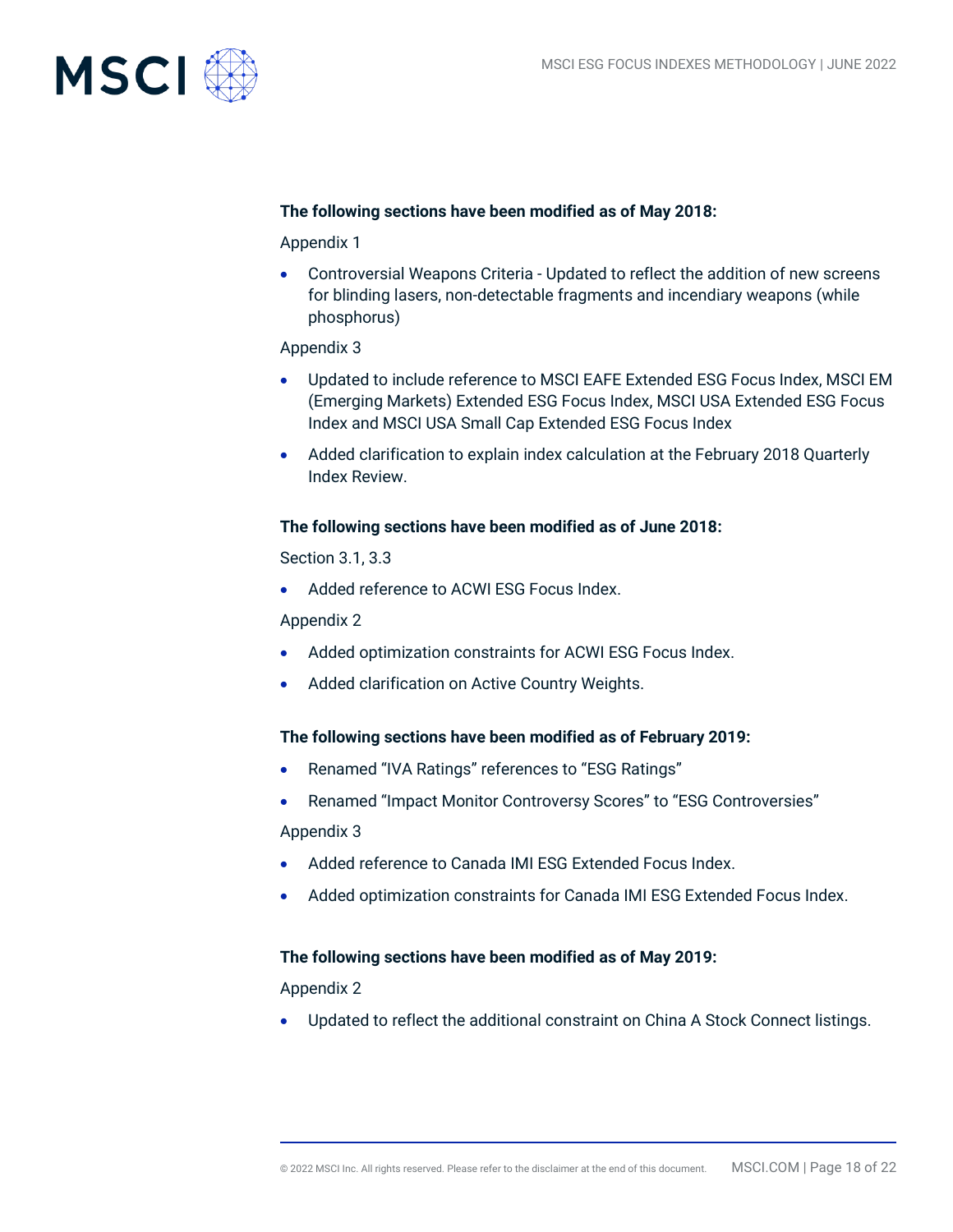

#### **The following sections have been modified as of May 2018:**

Appendix 1

• Controversial Weapons Criteria - Updated to reflect the addition of new screens for blinding lasers, non-detectable fragments and incendiary weapons (while phosphorus)

#### Appendix 3

- Updated to include reference to MSCI EAFE Extended ESG Focus Index, MSCI EM (Emerging Markets) Extended ESG Focus Index, MSCI USA Extended ESG Focus Index and MSCI USA Small Cap Extended ESG Focus Index
- Added clarification to explain index calculation at the February 2018 Quarterly Index Review.

#### **The following sections have been modified as of June 2018:**

Section 3.1, 3.3

• Added reference to ACWI ESG Focus Index.

Appendix 2

- Added optimization constraints for ACWI ESG Focus Index.
- Added clarification on Active Country Weights.

#### **The following sections have been modified as of February 2019:**

- Renamed "IVA Ratings" references to "ESG Ratings"
- Renamed "Impact Monitor Controversy Scores" to "ESG Controversies"

Appendix 3

- Added reference to Canada IMI ESG Extended Focus Index.
- Added optimization constraints for Canada IMI ESG Extended Focus Index.

#### **The following sections have been modified as of May 2019:**

Appendix 2

• Updated to reflect the additional constraint on China A Stock Connect listings.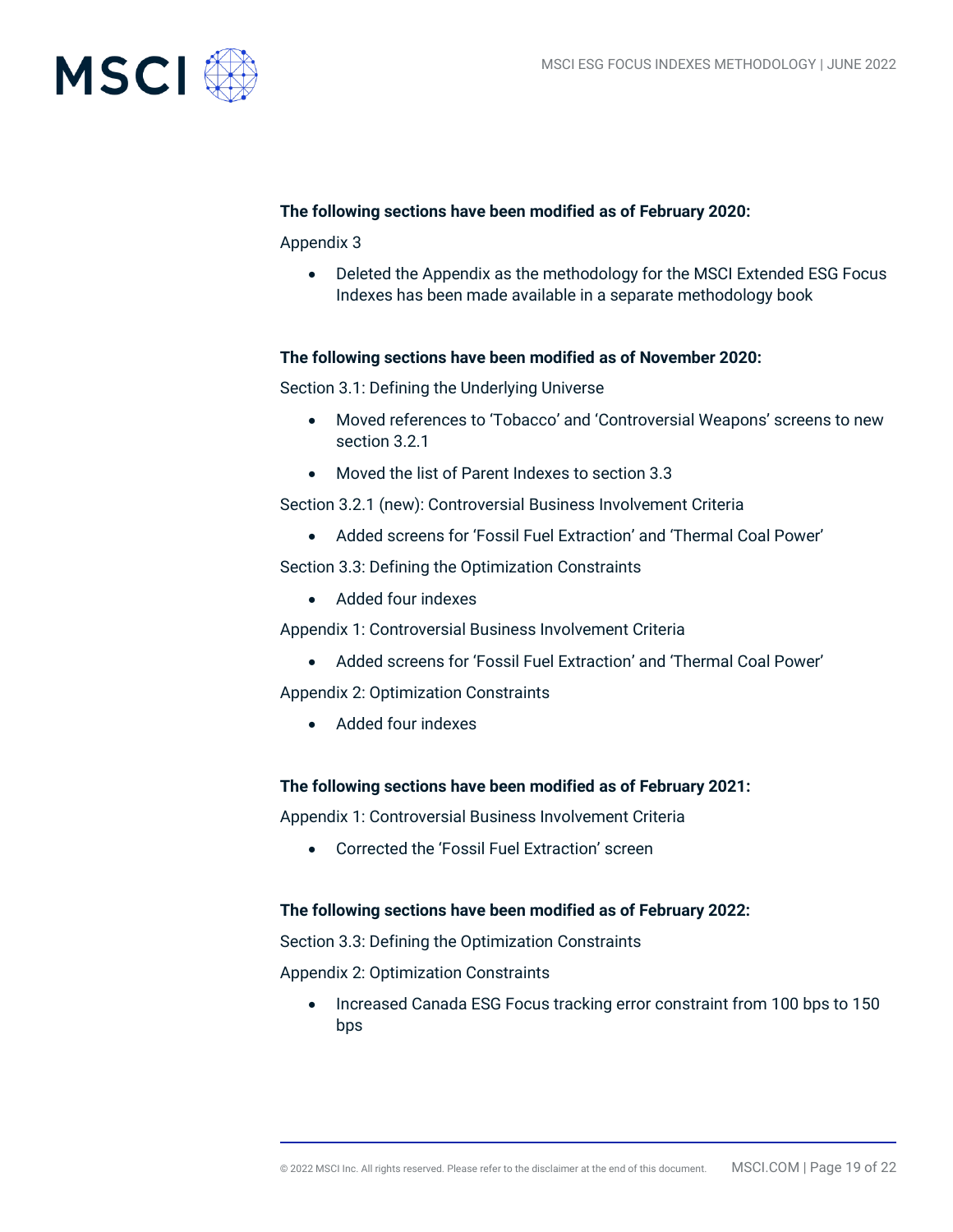

#### **The following sections have been modified as of February 2020:**

Appendix 3

• Deleted the Appendix as the methodology for the MSCI Extended ESG Focus Indexes has been made available in a separate methodology book

#### **The following sections have been modified as of November 2020:**

Section 3.1: Defining the Underlying Universe

- Moved references to 'Tobacco' and 'Controversial Weapons' screens to new section 3.2.1
- Moved the list of Parent Indexes to section 3.3

Section 3.2.1 (new): Controversial Business Involvement Criteria

• Added screens for 'Fossil Fuel Extraction' and 'Thermal Coal Power'

Section 3.3: Defining the Optimization Constraints

• Added four indexes

Appendix 1: Controversial Business Involvement Criteria

• Added screens for 'Fossil Fuel Extraction' and 'Thermal Coal Power'

Appendix 2: Optimization Constraints

• Added four indexes

#### **The following sections have been modified as of February 2021:**

Appendix 1: Controversial Business Involvement Criteria

• Corrected the 'Fossil Fuel Extraction' screen

#### **The following sections have been modified as of February 2022:**

Section 3.3: Defining the Optimization Constraints

Appendix 2: Optimization Constraints

• Increased Canada ESG Focus tracking error constraint from 100 bps to 150 bps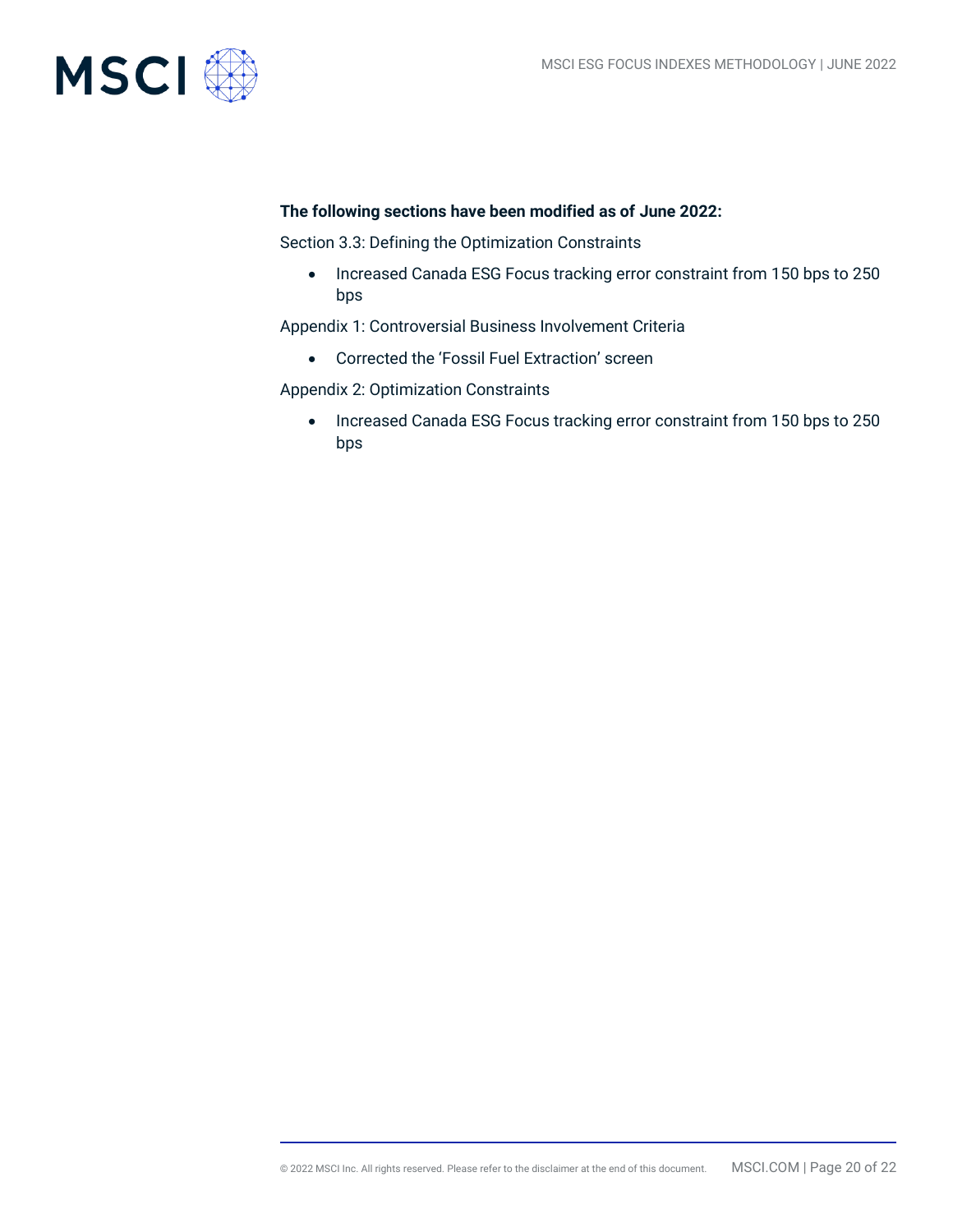

#### **The following sections have been modified as of June 2022:**

Section 3.3: Defining the Optimization Constraints

• Increased Canada ESG Focus tracking error constraint from 150 bps to 250 bps

Appendix 1: Controversial Business Involvement Criteria

• Corrected the 'Fossil Fuel Extraction' screen

Appendix 2: Optimization Constraints

• Increased Canada ESG Focus tracking error constraint from 150 bps to 250 bps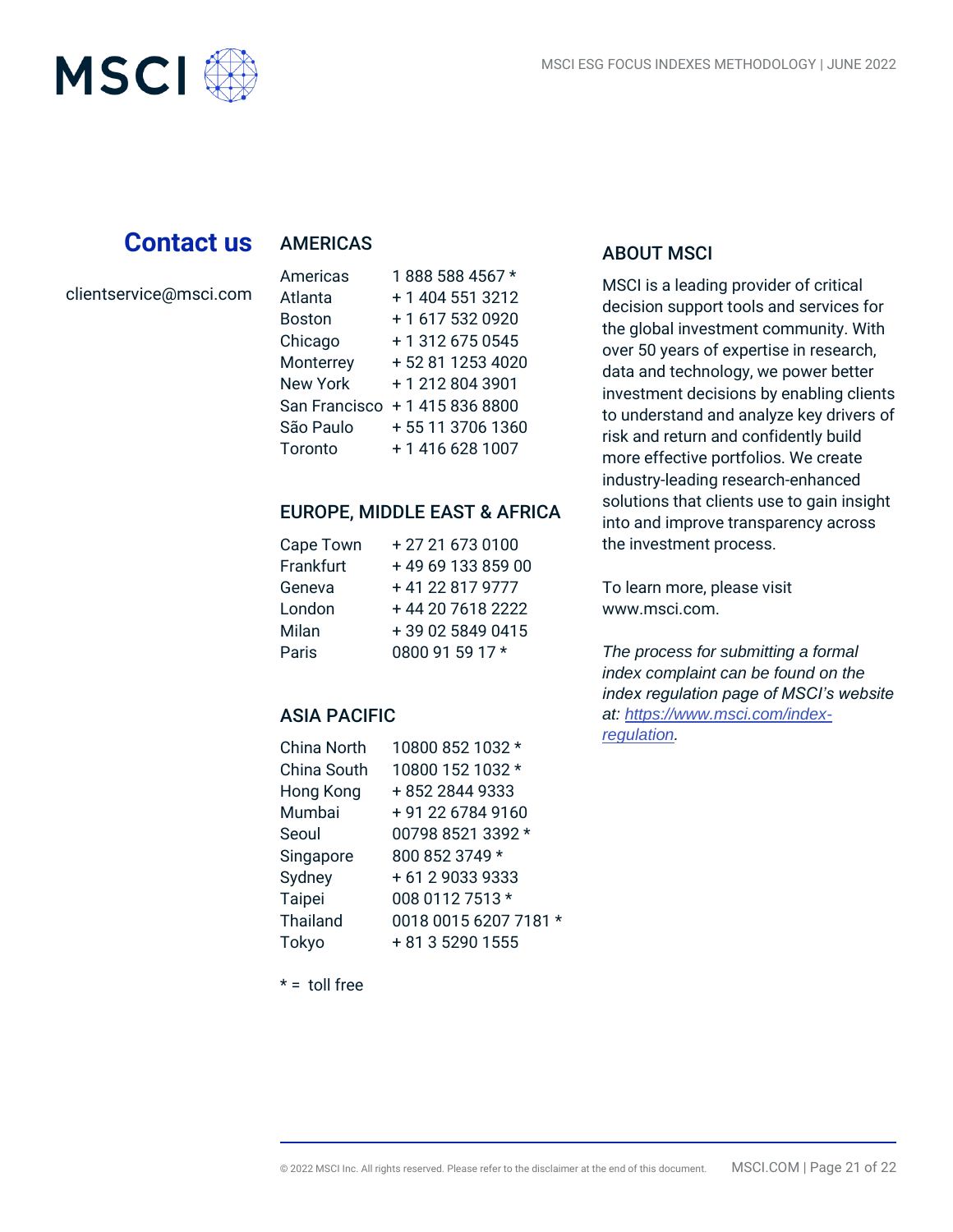

## **Contact us AMERICAS**

clientservice@msci.com

| Americas        | 1888 588 4567 *  |
|-----------------|------------------|
| Atlanta         | + 1 404 551 3212 |
| <b>Boston</b>   | + 1 617 532 0920 |
| Chicago         | +13126750545     |
| Monterrey       | +52 81 1253 4020 |
| <b>New York</b> | +12128043901     |
| San Francisco   | + 1 415 836 8800 |
| São Paulo       | +55 11 3706 1360 |
| Toronto         | + 1 416 628 1007 |

#### EUROPE, MIDDLE EAST & AFRICA

| Cape Town | +27 21 673 0100   |
|-----------|-------------------|
| Frankfurt | +49 69 133 859 00 |
| Geneva    | +41 22 817 9777   |
| London    | +44 20 7618 2222  |
| Milan     | +39 02 5849 0415  |
| Paris     | 0800 91 59 17 *   |

#### ASIA PACIFIC

| China North     | 10800 852 1032 *      |
|-----------------|-----------------------|
| China South     | 10800 152 1032 *      |
| Hong Kong       | +852 2844 9333        |
| Mumbai          | +91 22 6784 9160      |
| Seoul           | 00798 8521 3392 *     |
| Singapore       | 800 852 3749 *        |
| Sydney          | +61290339333          |
| Taipei          | 008 0112 7513 *       |
| <b>Thailand</b> | 0018 0015 6207 7181 * |
| Tokyo           | + 81 3 5290 1555      |
|                 |                       |

#### ABOUT MSCI

MSCI is a leading provider of critical decision support tools and services for the global investment community. With over 50 years of expertise in research, data and technology, we power better investment decisions by enabling clients to understand and analyze key drivers of risk and return and confidently build more effective portfolios. We create industry-leading research-enhanced solutions that clients use to gain insight into and improve transparency across the investment process.

To learn more, please visit www.msci.com.

*The process for submitting a formal index complaint can be found on the index regulation page of MSCI's website at: [https://www.msci.com/index](https://www.msci.com/index-regulation)[regulation.](https://www.msci.com/index-regulation)*

 $* =$  toll free